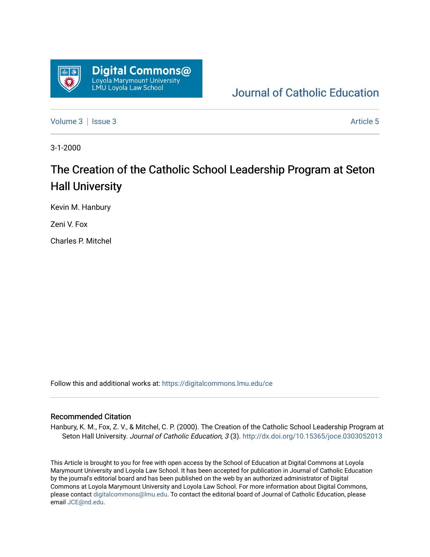

[Journal of Catholic Education](https://digitalcommons.lmu.edu/ce) 

[Volume 3](https://digitalcommons.lmu.edu/ce/vol3) | [Issue 3](https://digitalcommons.lmu.edu/ce/vol3/iss3) Article 5

3-1-2000

### The Creation of the Catholic School Leadership Program at Seton Hall University

Kevin M. Hanbury

Zeni V. Fox

Charles P. Mitchel

Follow this and additional works at: [https://digitalcommons.lmu.edu/ce](https://digitalcommons.lmu.edu/ce?utm_source=digitalcommons.lmu.edu%2Fce%2Fvol3%2Fiss3%2F5&utm_medium=PDF&utm_campaign=PDFCoverPages)

#### Recommended Citation

Hanbury, K. M., Fox, Z. V., & Mitchel, C. P. (2000). The Creation of the Catholic School Leadership Program at Seton Hall University. Journal of Catholic Education, 3 (3). http://dx.doi.org/10.15365/joce.0303052013

This Article is brought to you for free with open access by the School of Education at Digital Commons at Loyola Marymount University and Loyola Law School. It has been accepted for publication in Journal of Catholic Education by the journal's editorial board and has been published on the web by an authorized administrator of Digital Commons at Loyola Marymount University and Loyola Law School. For more information about Digital Commons, please contact [digitalcommons@lmu.edu](mailto:digitalcommons@lmu.edu). To contact the editorial board of Journal of Catholic Education, please email [JCE@nd.edu](mailto:JCE@nd.edu).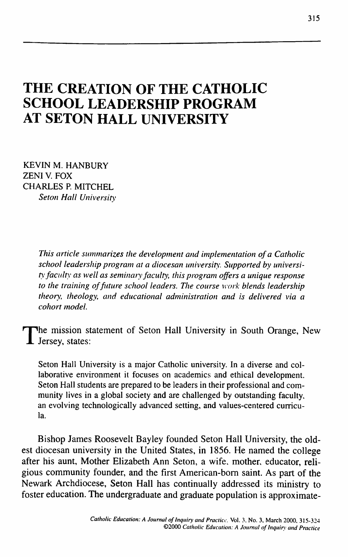## **THE CREATION OF THE CATHOLIC SCHOOL LEADERSHIP PROGRAM AT SETON HALL UNIVERSITY**

KEVIN M. HANBURY ZENI V. FOX CHARLES P. MITCHEL *Seton Hall University*

> *This article summarizes the development and implementation of a Catholic school leadership program at a diocesan university. Supported by university faculty as well as seminary faculty, this program offers a unique response to the training of future school leaders. The course work blends leadership theory, theology, and educational administration and is delivered via a cohort model.*

The mission statement of Seton Hall University in South Orange, New Jersey, states: Jersey, states:

Seton Hall University is a major Catholic university. In a diverse and collaborative environment it focuses on academics and ethical development. Seton Hall students are prepared to be leaders in their professional and community lives in a global society and are challenged by outstanding faculty, an evolving technologically advanced setting, and values-centered curricula.

Bishop James Roosevelt Bayley founded Seton Hall University, the oldest diocesan university in the United States, in 1856. He named the college after his aunt. Mother Elizabeth Ann Seton, a wife, mother, educator, religious community founder, and the first American-bom saint. As part of the Newark Archdiocese, Seton Hall has continually addressed its ministry to foster education. The undergraduate and graduate population is approximate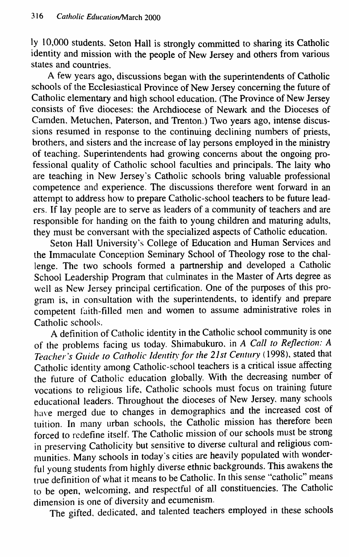ly 10,000 students. Seton Hall is strongly committed to sharing its Catholic identity and mission with the people of New Jersey and others from various states and countries.

A few years ago, discussions began with the superintendents of Catholic schools of the Ecclesiastical Province of New Jersey concerning the future of Catholic elementary and high school education. (The Province of New Jersey consists of five dioceses: the Archdiocese of Newark and the Dioceses of Camden, Metuchen, Paterson, and Trenton.) Two years ago, intense discussions resumed in response to the continuing declining numbers of priests, brothers, and sisters and the increase of lay persons employed in the ministry of teaching. Superintendents had growing concerns about the ongoing professional quality of Catholic school faculties and principals. The laity who are teaching in New Jersey's Catholic schools bring valuable professional competence and experience. The discussions therefore went forward in an attempt to address how to prepare Catholic-school teachers to be future leaders. If lay people are to serve as leaders of a community of teachers and are responsible for handing on the faith to young children and maturing adults, they must be conversant with the specialized aspects of Catholic education.

Seton Hall University's College of Education and Human Services and the Immaculate Conception Seminary School of Theology rose to the challenge. The two schools formed a partnership and developed a Catholic School Leadership Program that culminates in the Master of Arts degree as well as New Jersey principal certification. One of the purposes of this program is, in consultation with the superintendents, to identify and prepare competent faith-filled men and women to assume administrative roles in Catholic schools.

A definition of Catholic identity in the Catholic school community is one of the problems facing us today. Shimabukuro, in *A Call to Reflection: A Teacher's Guide to Catholic Identity for the 21st Century* (1998), stated that Catholic identity among Catholic-school teachers is a critical issue affecting the future of Catholic education globally. With the decreasing number of vocations to religious life. Catholic schools must focus on training future educational leaders. Throughout the dioceses of New Jersey, many schools have merged due to changes in demographics and the increased cost of tuition. In many urban schools, the Catholic mission has therefore been forced to redefine itself. The Catholic mission of our schools must be strong in preserving Catholicity but sensitive to diverse cultural and religious communities. Many schools in today's cities are heavily populated with wonderful young students from highly diverse ethnic backgrounds. This awakens the true definition of what it means to be Catholic. In this sense "catholic" means to be open, welcoming, and respectful of all constituencies. The Catholic dimension is one of diversity and ecumenism.

The gifted, dedicated, and talented teachers employed in these schools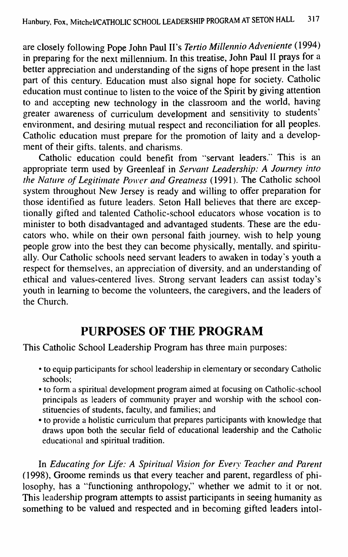are closely following Pope John Paul II's *Tertio Millennio Adveniente* (1994) in preparing for the next millennium. In this treatise, John Paul II prays for a better appreciation and understanding of the signs of hope present in the last part of this century. Education must also signal hope for society. Catholic education must continue to listen to the voice of the Spirit by giving attention to and accepting new technology in the classroom and the world, having greater awareness of curriculum development and sensitivity to students' environment, and desiring mutual respect and reconciliation for all peoples. Catholic education must prepare for the promotion of laity and a development of their gifts, talents, and charisms.

Catholic education could benefit from ''servant leaders." This is an appropriate term used by Greenleaf in *Servant Leadership: A Journey into the Nature of Legitimate Power and Greatness* (1991). The Catholic school system throughout New Jersey is ready and willing to offer preparation for those identified as future leaders. Seton Hall believes that there are exceptionally gifted and talented Catholic-school educators whose vocation is to minister to both disadvantaged and advantaged students. These are the educators who, while on their own personal faith journey, wish to help young people grow into the best they can become physically, mentally, and spiritually. Our Catholic schools need servant leaders to awaken in today's youth a respect for themselves, an appreciation of diversity, and an understanding of ethical and values-centered lives. Strong servant leaders can assist today's youth in learning to become the volunteers, the caregivers, and the leaders of the Church.

## **PURPOSES OF THE PROGRAM**

This Catholic School Leadership Program has three main purposes:

- to equip participants for school leadership in elementary or secondary Catholic schools;
- to form a spiritual development program aimed at focusing on Catholic-school principals as leaders of community prayer and worship with the school constituencies of students, faculty, and families; and
- to provide a holistic curriculum that prepares participants with knowledge that draws upon both the secular field of educational leadership and the Catholic educational and spiritual tradition.

In *Educating for Life: A Spiritual Vision for Every Teacher and Parent* (1998), Groome reminds us that every teacher and parent, regardless of philosophy, has a "functioning anthropology," whether we admit to it or not. This leadership program attempts to assist participants in seeing humanity as something to be valued and respected and in becoming gifted leaders intol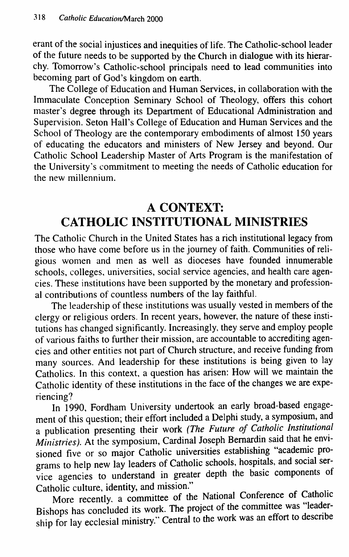erant of the social injustices and inequities of life. The Catholic-school leader of the future needs to be supported by the Church in dialogue with its hierarchy. Tomorrow's Catholic-school principals need to lead communities into becoming part of God's kingdom on earth.

The College of Education and Human Services, in collaboration with the Immaculate Conception Seminary School of Theology, offers this cohort master's degree through its Department of Educational Administration and Supervision. Seton Hall's College of Education and Human Services and the School of Theology are the contemporary embodiments of almost 150 years of educating the educators and ministers of New Jersey and beyond. Our Catholic School Leadership Master of Arts Program is the manifestation of the University's commitment to meeting the needs of Catholic education for the new millennium.

## **A CONTEXT: CATHOLIC INSTITUTIONAL MINISTRIES**

The Catholic Church in the United States has a rich institutional legacy from those who have come before us in the journey of faith. Communities of religious women and men as well as dioceses have founded innumerable schools, colleges, universities, social service agencies, and health care agencies. These institutions have been supported by the monetary and professional contributions of countless numbers of the lay faithful.

The leadership of these institutions was usually vested in members of the clergy or religious orders. In recent years, however, the nature of these institutions has changed significantly. Increasingly, they serve and employ people of various faiths to further their mission, are accountable to accrediting agencies and other entities not part of Church structure, and receive funding from many sources. And leadership for these institutions is being given to lay Catholics. In this context, a question has arisen: How will we maintain the Catholic identity of these institutions in the face of the changes we are experiencing?

In 1990, Fordham University undertook an eariy broad-based engagement of this question; their effort included a Delphi study, a symposium, and **a publication presenting their work** *(The Future of Catholic Institutional Ministries).* At the symposium. Cardinal Joseph Bemardin said that he envisioned five or so major Catholic universities establishing "academic programs to help new lay leaders of Catholic schools, hospitals, and social service agencies to understand in greater depth the basic components of Catholic culture, identity, and mission."

More recently, a committee of the National Conference of Catholic Bishops has concluded its work. The project of the committee was "leadership for lay ecclesial ministry." Central to the work was an effort to describe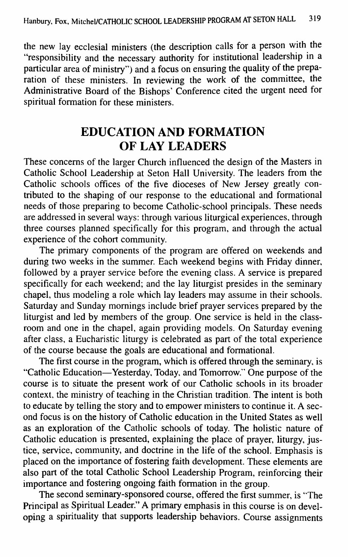the new lay ecclesial ministers (the description calls for a person with the "responsibility and the necessary authority for institutional leadership in a particular area of ministry") and a focus on ensuring the quality of the preparation of these ministers. In reviewing the work of the committee, the Administrative Board of the Bishops' Conference cited the urgent need for spiritual formation for these ministers.

## **EDUCATION AND FORMATION OF LAY LEADERS**

These concerns of the larger Church influenced the design of the Masters in Catholic School Leadership at Seton Hall University. The leaders from the Catholic schools offices of the five dioceses of New Jersey greatly contributed to the shaping of our response to the educational and formational needs of those preparing to become Catholic-school principals. These needs are addressed in several ways: through various liturgical experiences, through three courses planned specifically for this program, and through the actual experience of the cohort community.

The primary components of the program are offered on weekends and during two weeks in the summer. Each weekend begins with Friday dinner, followed by a prayer service before the evening class. A service is prepared specifically for each weekend; and the lay liturgist presides in the seminary chapel, thus modeling a role which lay leaders may assume in their schools. Saturday and Sunday mornings include brief prayer services prepared by the liturgist and led by members of the group. One service is held in the classroom and one in the chapel, again providing models. On Saturday evening after class, a Eucharistic liturgy is celebrated as part of the total experience of the course because the goals are educational and formational.

The first course in the program, which is offered through the seminary, is "Catholic Education—Yesterday, Today, and Tomorrow." One purpose of the course is to situate the present work of our Catholic schools in its broader context, the ministry of teaching in the Christian tradition. The intent is both to educate by telling the story and to empower ministers to continue it. A second focus is on the history of Catholic education in the United States as well as an exploration of the Catholic schools of today. The holistic nature of Catholic education is presented, explaining the place of prayer, liturgy, justice, service, community, and doctrine in the life of the school. Emphasis is placed on the importance of fostering faith development. These elements are also part of the total Catholic School Leadership Program, reinforcing their importance and fostering ongoing faith formation in the group.

The second seminary-sponsored course, offered the first summer, is "The Principal as Spiritual Leader." A primary emphasis in this course is on developing a spirituality that supports leadership behaviors. Course assignments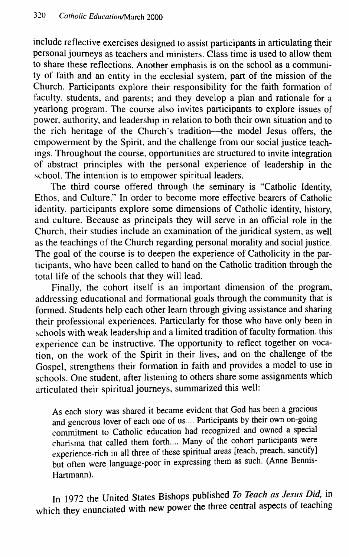include reflective exercises designed to assist participants in articulating their personal journeys as teachers and ministers. Class time is used to allow them to share these reflections. Another emphasis is on the school as a community of faith and an entity in the ecclesial system, part of the mission of the Church. Participants explore their responsibility for the faith formation of faculty, students, and parents; and they develop a plan and rationale for a yearlong program. The course also invites participants to explore issues of power, authority, and leadership in relation to both their own situation and to the rich heritage of the Church's tradition—the model Jesus offers, the empowerment by the Spirit, and the challenge from our social justice teachings. Throughout the course, opportunities are structured to invite integration of abstract principles with the personal experience of leadership in the school. The intention is to empower spiritual leaders.

The third course offered through the seminary is "Catholic Identity, Ethos, and Culture." In order to become more effective bearers of Catholic identity, participants explore some dimensions of Catholic identity, history, and culture. Because as principals they will serve in an official role in the Church, their studies include an examination of the juridical system, as well as the teachings of the Church regarding personal morality and social justice. The goal of the course is to deepen the experience of Catholicity in the participants, who have been called to hand on the Catholic tradition through the total life of the schools that they will lead.

Finally, the cohort itself is an important dimension of the program, addressing educational and formational goals through the community that is formed. Students help each other learn through giving assistance and sharing their professional experiences. Particularly for those who have only been in schools with weak leadership and a limited tradition of faculty formation, this experience can be instructive. The opportunity to reflect together on vocation, on the work of the Spirit in their lives, and on the challenge of the Gospel, strengthens their formation in faith and provides a model to use in schools. One student, after listening to others share some assignments which articulated their spiritual journeys, summarized this well:

As each story was shared it became evident that God has been a gracious and generous lover of each one of us.... Participants by their own on-going commitment to Catholic education had recognized and owned a special charisma that called them forth.... Many of the cohort participants were experience-rich in all three of these spiritual areas [teach, preach, sanctify] but often were language-poor in expressing them as such. (Anne Bennis-Hartmann).

In 1972 the United States Bishops published To Teach as Jesus Did, in which they enunciated with new power the three central aspects of teaching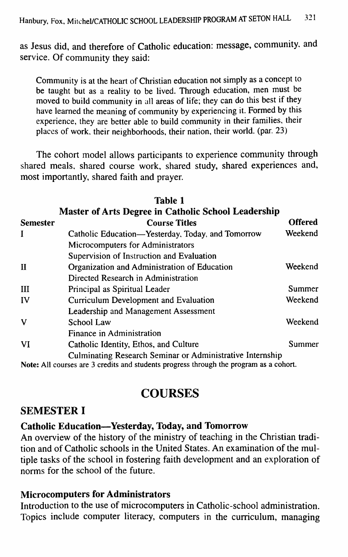as Jesus did, and therefore of Catholic education: message, community, and service. Of community they said:

Community is at the heart of Christian education not simply as a concept to be taught but as a reality to be lived. Through education, men must be moved to build community in all areas of life; they can do this best if they have leamed the meaning of community by experiencing it. Formed by this experience, they are better able to build community in their families, their places of work, their neighborhoods, their nation, their world, (par. 23)

The cohort model allows participants to experience community through shared meals, shared course work, shared study, shared experiences and, most importantly, shared faith and prayer.

|                 | <b>Table 1</b><br><b>Master of Arts Degree in Catholic School Leadership</b> |                |
|-----------------|------------------------------------------------------------------------------|----------------|
| <b>Semester</b> | <b>Course Titles</b>                                                         | <b>Offered</b> |
| $\bf{I}$        | Catholic Education—Yesterday, Today, and Tomorrow                            | Weekend        |
|                 | Microcomputers for Administrators                                            |                |
|                 | Supervision of Instruction and Evaluation                                    |                |
| $\mathbf{I}$    | Organization and Administration of Education                                 | Weekend        |
|                 | Directed Research in Administration                                          |                |
| III             | Principal as Spiritual Leader                                                | <b>Summer</b>  |
| IV              | Curriculum Development and Evaluation                                        | Weekend        |
|                 | Leadership and Management Assessment                                         |                |
| V               | School Law                                                                   | Weekend        |
|                 | Finance in Administration                                                    |                |
| <b>VI</b>       | Catholic Identity, Ethos, and Culture                                        | Summer         |
|                 | <b>Culminating Research Seminar or Administrative Internship</b>             |                |

Note: All courses are 3 credits and students progress through the program as a cohort.

## **COURSES**

#### **SEMESTER I**

#### **Catholic Education—Yesterday, Today, and Tomorrow**

An overview of the history of the ministry of teaching in the Christian tradition and of Catholic schools in the United States. An examination of the multiple tasks of the school in fostering faith development and an exploration of norms for the school of the future.

#### **Microcomputers for Administrators**

Introduction to the use of microcomputers in Catholic-school administration. Topics include computer literacy, computers in the curriculum, managing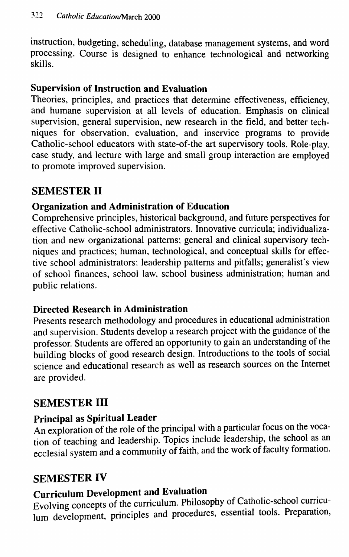instruction, budgeting, scheduling, database management systems, and word processing. Course is designed to enhance technological and networking skills.

### **Supervision of Instruction and Evaluation**

Theories, principles, and practices that determine effectiveness, efficiency, and humane supervision at all levels of education. Emphasis on clinical supervision, general supervision, new research in the field, and better techniques for observation, evaluation, and inservice programs to provide Catholic-school educators with state-of-the art supervisory tools. Role-play, case study, and lecture with large and small group interaction are employed to promote improved supervision.

### **SEMESTER II**

### **Organization and Administration of Education**

Comprehensive principles, historical background, and future perspectives for effective Catholic-school administrators. Innovative curricula; individualization and new organizational patterns; general and clinical supervisory techniques and practices; human, technological, and conceptual skills for effective school administrators; leadership patterns and pitfalls; generalist's view of school finances, school law, school business administration; human and public relations.

### **Directed Research in Administration**

Presents research methodology and procedures in educational administration and supervision. Students develop a research project with the guidance of the professor. Students are offered an opportunity to gain an understanding of the building blocks of good research design. Introductions to the tools of social science and educational research as well as research sources on the Internet are provided.

### **SEMESTER III**

### **Principal as Spiritual Leader**

An exploration of the role of the principal with a particular focus on the vocation of teaching and leadership. Topics include leadership, the school as an ecclesial system and a community of faith, and the work of faculty formation.

### **SEMESTER IV**

# **Curriculum Development and Evaluation**

Evolving concepts of the curriculum. Philosophy of Catholic-school curriculum development, principles and procedures, essential tools. Preparation,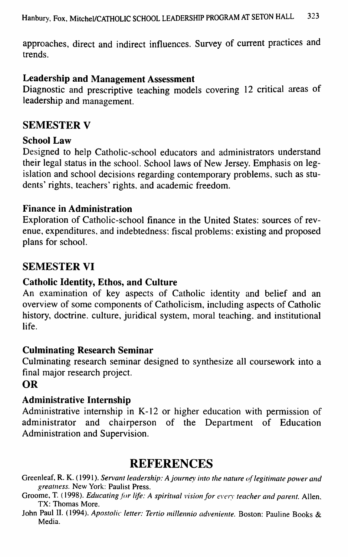approaches, direct and indirect influences. Survey of current practices and trends.

#### **Leadership and Management Assessment**

Diagnostic and prescriptive teaching models covering 12 critical areas of leadership and management.

### **SEMESTER V**

#### **School Law**

Designed to help Catholic-school educators and administrators understand their legal status in the school. School laws of New Jersey. Emphasis on legislation and school decisions regarding contemporary problems, such as students' rights, teachers' rights, and academic freedom.

#### **Finance in Administration**

Exploration of Catholic-school finance in the United States: sources of revenue, expenditures, and indebtedness; fiscal problems; existing and proposed plans for school.

### **SEMESTER VI**

#### **Catholic Identity, Ethos, and Culture**

An examination of key aspects of Catholic identity and belief and an overview of some components of Catholicism, including aspects of Catholic history, doctrine, culture, juridical system, moral teaching, and institutional life.

#### **Culminating Research Seminar**

Culminating research seminar designed to synthesize all coursework into a final major research project.

#### **OR**

#### **Administrative Internship**

Administrative internship in K-12 or higher education with permission of administrator and chairperson of the Department of Education Administration and Supervision.

### REFERENCES

Greenleaf, R. K. (1991). *Servant leadership: A fourney into the nature of legitimate power and greatness.* New York: Paulist Press.

Groome, T. (1998). *Educating for life: A spiritual vision for every teacher and parent.* Allen, TX: Thomas More.

John Paul II. (1994). *Apostolic letter: Tertio millennio adveniente.* Boston: Pauline Books & Media.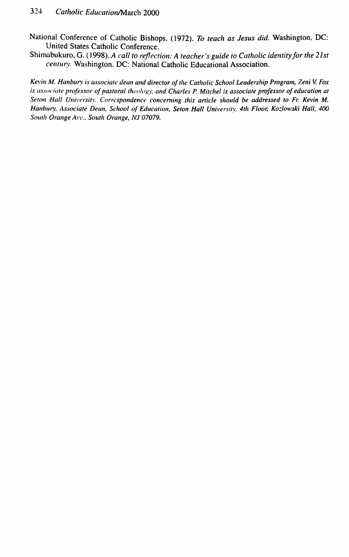National Conference of Catholic Bishops. (1972). *To teach as Jesus did.* Washington, DC: United States Catholic Conference.

Shimabukuro, G. (1998). *A call to reflection: A teacher's guide to Catholic identity for the 21st century.* Washington, DC: National Catholic Educational Association.

*Kevin M. Hanbury is associate dean and director of the Catholic School Leadership Program, Zeni V. Fox is associate professor of pastoral theology, and Charles P. Mitchel is associate professor of education at* Seton Hall University. Correspondence concerning this article should be addressed to Fr. Kevin M. Hanbury, Associate Dean, School of Education, Seton Hall University, 4th Floor, Kozlowski Hall, 400 *Sottth Orange Ave., South Orange, NJ 07079.*